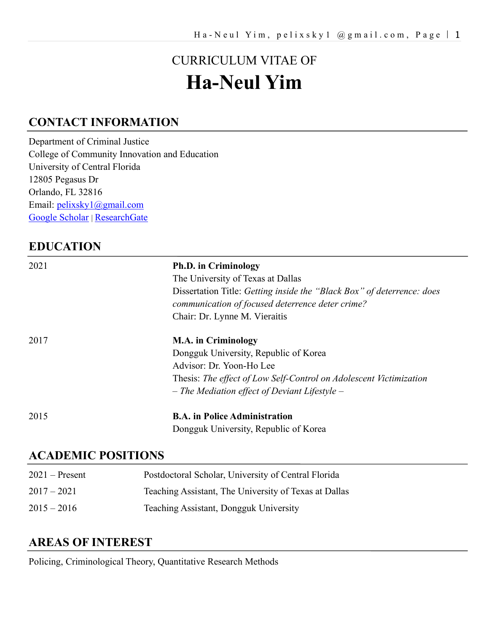# CURRICULUM VITAE OF **Ha-Neul Yim**

# **CONTACT INFORMATION**

Department of Criminal Justice College of Community Innovation and Education University of Central Florida 12805 Pegasus Dr Orlando, FL 32816 Email: [pelixsky1@gmail.com](mailto:pelixsky1@gmail.com) [Google Scholar](https://scholar.google.co.kr/citations?user=i8MEijkAAAAJ&hl=en) | [ResearchGate](https://www.researchgate.net/profile/Ha_Neul_Yim)

## **EDUCATION**

| 2021 | <b>Ph.D.</b> in Criminology<br>The University of Texas at Dallas<br>Dissertation Title: Getting inside the "Black Box" of deterrence: does<br>communication of focused deterrence deter crime?<br>Chair: Dr. Lynne M. Vieraitis |
|------|---------------------------------------------------------------------------------------------------------------------------------------------------------------------------------------------------------------------------------|
| 2017 | <b>M.A.</b> in Criminology<br>Dongguk University, Republic of Korea<br>Advisor: Dr. Yoon-Ho Lee<br>Thesis: The effect of Low Self-Control on Adolescent Victimization<br>$-$ The Mediation effect of Deviant Lifestyle $-$      |
| 2015 | <b>B.A.</b> in Police Administration<br>Dongguk University, Republic of Korea                                                                                                                                                   |

# **ACADEMIC POSITIONS**

| $2021 -$ Present | Postdoctoral Scholar, University of Central Florida   |
|------------------|-------------------------------------------------------|
| $2017 - 2021$    | Teaching Assistant, The University of Texas at Dallas |
| $2015 - 2016$    | Teaching Assistant, Dongguk University                |

## **AREAS OF INTEREST**

Policing, Criminological Theory, Quantitative Research Methods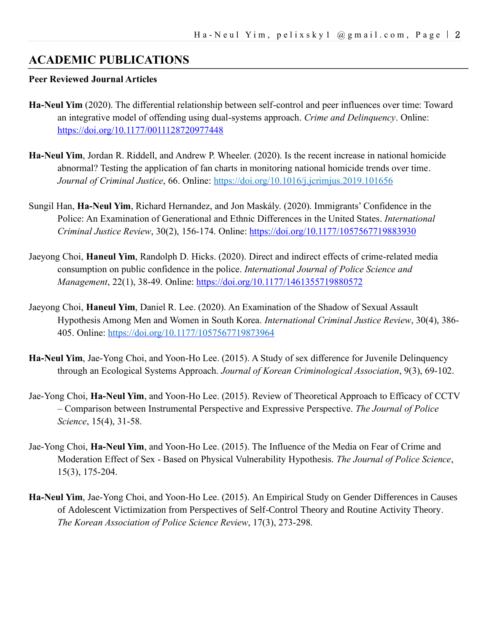## **ACADEMIC PUBLICATIONS**

#### **Peer Reviewed Journal Articles**

- **Ha-Neul Yim** (2020). The differential relationship between self-control and peer influences over time: Toward an integrative model of offending using dual-systems approach. *Crime and Delinquency*. Online: <https://doi.org/10.1177/0011128720977448>
- **Ha-Neul Yim**, Jordan R. Riddell, and Andrew P. Wheeler. (2020). Is the recent increase in national homicide abnormal? Testing the application of fan charts in monitoring national homicide trends over time. *Journal of Criminal Justice*, 66. Online:<https://doi.org/10.1016/j.jcrimjus.2019.101656>
- Sungil Han, **Ha-Neul Yim**, Richard Hernandez, and Jon Maskály. (2020). Immigrants' Confidence in the Police: An Examination of Generational and Ethnic Differences in the United States. *International Criminal Justice Review*, 30(2), 156-174. Online:<https://doi.org/10.1177/1057567719883930>
- Jaeyong Choi, **Haneul Yim**, Randolph D. Hicks. (2020). Direct and indirect effects of crime-related media consumption on public confidence in the police. *International Journal of Police Science and Management*, 22(1), 38-49. Online:<https://doi.org/10.1177/1461355719880572>
- Jaeyong Choi, **Haneul Yim**, Daniel R. Lee. (2020). An Examination of the Shadow of Sexual Assault Hypothesis Among Men and Women in South Korea. *International Criminal Justice Review*, 30(4), 386- 405. Online: [https://doi.org/10.1177/1057567719873964](https://doi.org/10.1177%2F1057567719873964)
- **Ha-Neul Yim**, Jae-Yong Choi, and Yoon-Ho Lee. (2015). A Study of sex difference for Juvenile Delinquency through an Ecological Systems Approach. *Journal of Korean Criminological Association*, 9(3), 69-102.
- Jae-Yong Choi, **Ha-Neul Yim**, and Yoon-Ho Lee. (2015). Review of Theoretical Approach to Efficacy of CCTV – Comparison between Instrumental Perspective and Expressive Perspective. *The Journal of Police Science*, 15(4), 31-58.
- Jae-Yong Choi, **Ha-Neul Yim**, and Yoon-Ho Lee. (2015). The Influence of the Media on Fear of Crime and Moderation Effect of Sex - Based on Physical Vulnerability Hypothesis. *The Journal of Police Science*, 15(3), 175-204.
- **Ha-Neul Yim**, Jae-Yong Choi, and Yoon-Ho Lee. (2015). An Empirical Study on Gender Differences in Causes of Adolescent Victimization from Perspectives of Self-Control Theory and Routine Activity Theory. *The Korean Association of Police Science Review*, 17(3), 273-298.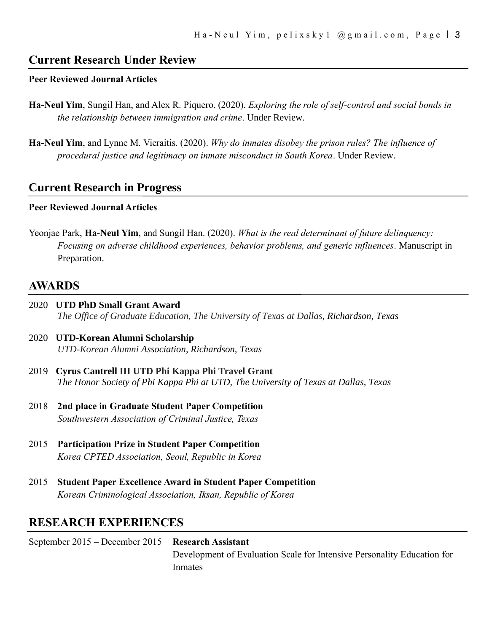## **Current Research Under Review**

#### **Peer Reviewed Journal Articles**

- **Ha-Neul Yim**, Sungil Han, and Alex R. Piquero. (2020). *Exploring the role of self-control and social bonds in the relationship between immigration and crime*. Under Review.
- **Ha-Neul Yim**, and Lynne M. Vieraitis. (2020). *Why do inmates disobey the prison rules? The influence of procedural justice and legitimacy on inmate misconduct in South Korea*. Under Review.

#### **Current Research in Progress**

#### **Peer Reviewed Journal Articles**

Yeonjae Park, **Ha-Neul Yim**, and Sungil Han. (2020). *What is the real determinant of future delinquency: Focusing on adverse childhood experiences, behavior problems, and generic influences*. Manuscript in Preparation.

## **AWARDS**

- 2020 **UTD PhD Small Grant Award** *The Office of Graduate Education, The University of Texas at Dallas, Richardson, Texas*
- 2020 **UTD-Korean Alumni Scholarship** *UTD-Korean Alumni Association, Richardson, Texas*
- 2019 **Cyrus Cantrell III UTD Phi Kappa Phi Travel Grant** *The Honor Society of Phi Kappa Phi at UTD, The University of Texas at Dallas, Texas*
- 2018 **2nd place in Graduate Student Paper Competition**  *Southwestern Association of Criminal Justice, Texas*
- 2015 **Participation Prize in Student Paper Competition**  *Korea CPTED Association, Seoul, Republic in Korea*
- 2015 **Student Paper Excellence Award in Student Paper Competition**  *Korean Criminological Association, Iksan, Republic of Korea*

## **RESEARCH EXPERIENCES**

| September $2015$ – December 2015 Research Assistant |                                                                         |
|-----------------------------------------------------|-------------------------------------------------------------------------|
|                                                     | Development of Evaluation Scale for Intensive Personality Education for |
|                                                     | Inmates                                                                 |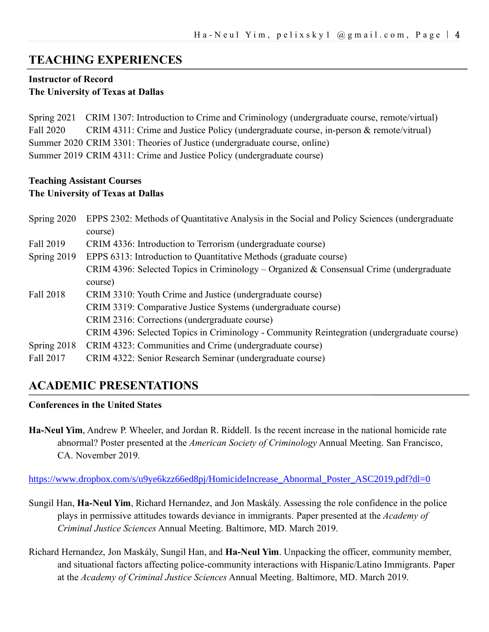## **TEACHING EXPERIENCES**

#### **Instructor of Record The University of Texas at Dallas**

Spring 2021 CRIM 1307: Introduction to Crime and Criminology (undergraduate course, remote/virtual) Fall 2020 CRIM 4311: Crime and Justice Policy (undergraduate course, in-person & remote/vitrual) Summer 2020 CRIM 3301: Theories of Justice (undergraduate course, online) Summer 2019 CRIM 4311: Crime and Justice Policy (undergraduate course)

#### **Teaching Assistant Courses The University of Texas at Dallas**

| Spring 2020 | EPPS 2302: Methods of Quantitative Analysis in the Social and Policy Sciences (undergraduate |
|-------------|----------------------------------------------------------------------------------------------|
|             | course)                                                                                      |
| Fall 2019   | CRIM 4336: Introduction to Terrorism (undergraduate course)                                  |
| Spring 2019 | EPPS 6313: Introduction to Quantitative Methods (graduate course)                            |
|             | CRIM 4396: Selected Topics in Criminology – Organized & Consensual Crime (undergraduate      |
|             | course)                                                                                      |
| Fall 2018   | CRIM 3310: Youth Crime and Justice (undergraduate course)                                    |
|             | CRIM 3319: Comparative Justice Systems (undergraduate course)                                |
|             | CRIM 2316: Corrections (undergraduate course)                                                |
|             | CRIM 4396: Selected Topics in Criminology - Community Reintegration (undergraduate course)   |
| Spring 2018 | CRIM 4323: Communities and Crime (undergraduate course)                                      |
| Fall 2017   | CRIM 4322: Senior Research Seminar (undergraduate course)                                    |

## **ACADEMIC PRESENTATIONS**

#### **Conferences in the United States**

**Ha-Neul Yim**, Andrew P. Wheeler, and Jordan R. Riddell. Is the recent increase in the national homicide rate abnormal? Poster presented at the *American Society of Criminology* Annual Meeting. San Francisco, CA. November 2019.

[https://www.dropbox.com/s/u9ye6kzz66ed8pj/HomicideIncrease\\_Abnormal\\_Poster\\_ASC2019.pdf?dl=0](https://www.dropbox.com/s/u9ye6kzz66ed8pj/HomicideIncrease_Abnormal_Poster_ASC2019.pdf?dl=0)

- Sungil Han, **Ha-Neul Yim**, Richard Hernandez, and Jon Maskály. Assessing the role confidence in the police plays in permissive attitudes towards deviance in immigrants. Paper presented at the *Academy of Criminal Justice Sciences* Annual Meeting. Baltimore, MD. March 2019.
- Richard Hernandez, Jon Maskály, Sungil Han, and **Ha-Neul Yim**. Unpacking the officer, community member, and situational factors affecting police-community interactions with Hispanic/Latino Immigrants. Paper at the *Academy of Criminal Justice Sciences* Annual Meeting. Baltimore, MD. March 2019.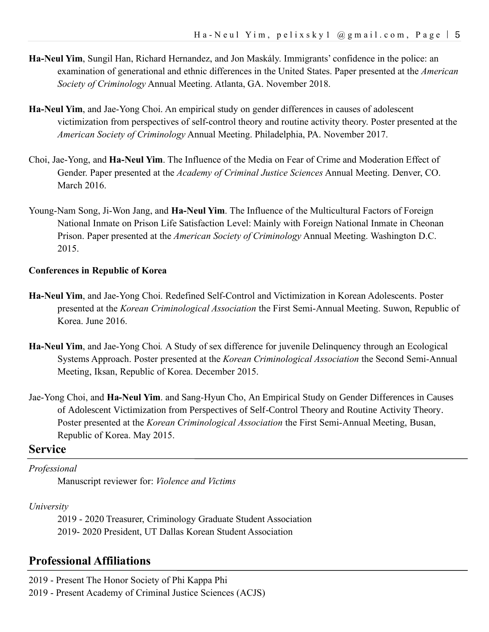- **Ha-Neul Yim**, Sungil Han, Richard Hernandez, and Jon Maskály. Immigrants' confidence in the police: an examination of generational and ethnic differences in the United States. Paper presented at the *American Society of Criminology* Annual Meeting. Atlanta, GA. November 2018.
- **Ha-Neul Yim**, and Jae-Yong Choi. An empirical study on gender differences in causes of adolescent victimization from perspectives of self-control theory and routine activity theory. Poster presented at the *American Society of Criminology* Annual Meeting. Philadelphia, PA. November 2017.
- Choi, Jae-Yong, and **Ha-Neul Yim**. The Influence of the Media on Fear of Crime and Moderation Effect of Gender. Paper presented at the *Academy of Criminal Justice Sciences* Annual Meeting. Denver, CO. March 2016.
- Young-Nam Song, Ji-Won Jang, and **Ha-Neul Yim**. The Influence of the Multicultural Factors of Foreign National Inmate on Prison Life Satisfaction Level: Mainly with Foreign National Inmate in Cheonan Prison. Paper presented at the *American Society of Criminology* Annual Meeting. Washington D.C. 2015.

#### **Conferences in Republic of Korea**

- **Ha-Neul Yim**, and Jae-Yong Choi. Redefined Self-Control and Victimization in Korean Adolescents. Poster presented at the *Korean Criminological Association* the First Semi-Annual Meeting. Suwon, Republic of Korea. June 2016.
- **Ha-Neul Yim**, and Jae-Yong Choi*.* A Study of sex difference for juvenile Delinquency through an Ecological Systems Approach. Poster presented at the *Korean Criminological Association* the Second Semi-Annual Meeting, Iksan, Republic of Korea. December 2015.
- Jae-Yong Choi, and **Ha-Neul Yim**. and Sang-Hyun Cho, An Empirical Study on Gender Differences in Causes of Adolescent Victimization from Perspectives of Self-Control Theory and Routine Activity Theory. Poster presented at the *Korean Criminological Association* the First Semi-Annual Meeting, Busan, Republic of Korea. May 2015.

#### **Service**

#### *Professional*

Manuscript reviewer for: *Violence and Victims*

#### *University*

2019 - 2020 Treasurer, Criminology Graduate Student Association 2019- 2020 President, UT Dallas Korean Student Association

## **Professional Affiliations**

2019 - Present The Honor Society of Phi Kappa Phi

2019 - Present Academy of Criminal Justice Sciences (ACJS)